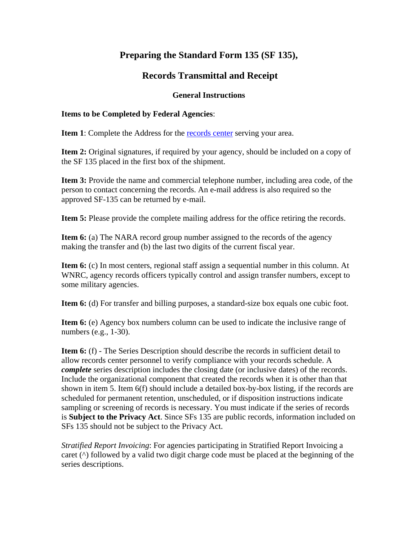## **Preparing the Standard Form 135 (SF 135),**

## **Records Transmittal and Receipt**

## **General Instructions**

## **Items to be Completed by Federal Agencies**:

**Item 1**: Complete the Address for the [records center](https://www.archives.gov/frc/locations) serving your area.

**Item 2:** Original signatures, if required by your agency, should be included on a copy of the SF 135 placed in the first box of the shipment.

**Item 3:** Provide the name and commercial telephone number, including area code, of the person to contact concerning the records. An e-mail address is also required so the approved SF-135 can be returned by e-mail.

**Item 5:** Please provide the complete mailing address for the office retiring the records.

**Item 6:** (a) The NARA record group number assigned to the records of the agency making the transfer and (b) the last two digits of the current fiscal year.

**Item 6:** (c) In most centers, regional staff assign a sequential number in this column. At WNRC, agency records officers typically control and assign transfer numbers, except to some military agencies.

**Item 6:** (d) For transfer and billing purposes, a standard-size box equals one cubic foot.

**Item 6:** (e) Agency box numbers column can be used to indicate the inclusive range of numbers (e.g., 1-30).

**Item 6:** (f) - The Series Description should describe the records in sufficient detail to allow records center personnel to verify compliance with your records schedule. A *complete* series description includes the closing date (or inclusive dates) of the records. Include the organizational component that created the records when it is other than that shown in item 5. Item 6(f) should include a detailed box-by-box listing, if the records are scheduled for permanent retention, unscheduled, or if disposition instructions indicate sampling or screening of records is necessary. You must indicate if the series of records is **Subject to the Privacy Act**. Since SFs 135 are public records, information included on SFs 135 should not be subject to the Privacy Act.

*Stratified Report Invoicing*: For agencies participating in Stratified Report Invoicing a caret (^) followed by a valid two digit charge code must be placed at the beginning of the series descriptions.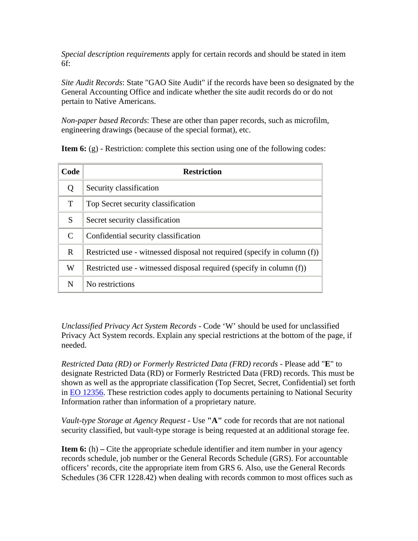*Special description requirements* apply for certain records and should be stated in item 6f:

*Site Audit Records*: State "GAO Site Audit" if the records have been so designated by the General Accounting Office and indicate whether the site audit records do or do not pertain to Native Americans.

*Non-paper based Records*: These are other than paper records, such as microfilm, engineering drawings (because of the special format), etc.

**Item 6:** (g) - Restriction: complete this section using one of the following codes:

| Code         | <b>Restriction</b>                                                       |
|--------------|--------------------------------------------------------------------------|
| Q            | Security classification                                                  |
| T            | Top Secret security classification                                       |
| S            | Secret security classification                                           |
| C            | Confidential security classification                                     |
| $\mathbf{R}$ | Restricted use - witnessed disposal not required (specify in column (f)) |
| W            | Restricted use - witnessed disposal required (specify in column (f))     |
| N            | No restrictions                                                          |

*Unclassified Privacy Act System Records* - Code 'W' should be used for unclassified Privacy Act System records. Explain any special restrictions at the bottom of the page, if needed.

*Restricted Data (RD) or Formerly Restricted Data (FRD) records* - Please add "**E**" to designate Restricted Data (RD) or Formerly Restricted Data (FRD) records. This must be shown as well as the appropriate classification (Top Secret, Secret, Confidential) set forth in [EO 12356.](https://www.archives.gov/federal-register/codification/executive-order/12356.html) These restriction codes apply to documents pertaining to National Security Information rather than information of a proprietary nature.

*Vault-type Storage at Agency Request* - Use **"A"** code for records that are not national security classified, but vault-type storage is being requested at an additional storage fee.

**Item 6:** (h) – Cite the appropriate schedule identifier and item number in your agency records schedule, job number or the General Records Schedule (GRS). For accountable officers' records, cite the appropriate item from GRS 6. Also, use the General Records Schedules (36 CFR 1228.42) when dealing with records common to most offices such as